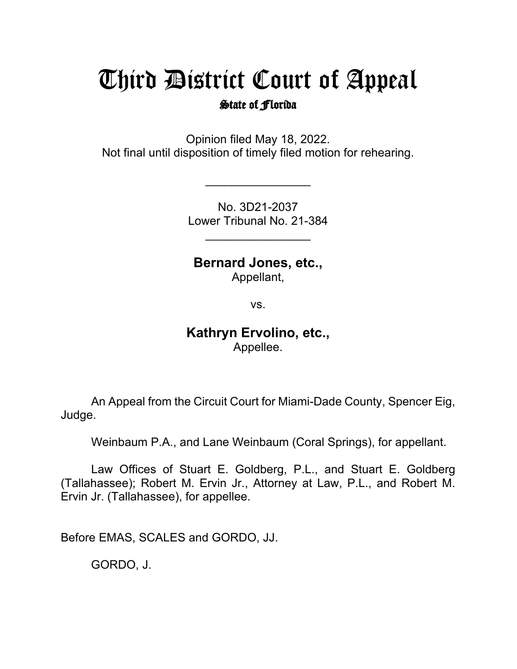## Third District Court of Appeal

## State of Florida

Opinion filed May 18, 2022. Not final until disposition of timely filed motion for rehearing.

\_\_\_\_\_\_\_\_\_\_\_\_\_\_\_\_

No. 3D21-2037 Lower Tribunal No. 21-384

 $\overline{\phantom{a}}$ 

**Bernard Jones, etc.,**

Appellant,

vs.

## **Kathryn Ervolino, etc.,** Appellee.

An Appeal from the Circuit Court for Miami-Dade County, Spencer Eig, Judge.

Weinbaum P.A., and Lane Weinbaum (Coral Springs), for appellant.

Law Offices of Stuart E. Goldberg, P.L., and Stuart E. Goldberg (Tallahassee); Robert M. Ervin Jr., Attorney at Law, P.L., and Robert M. Ervin Jr. (Tallahassee), for appellee.

Before EMAS, SCALES and GORDO, JJ.

GORDO, J.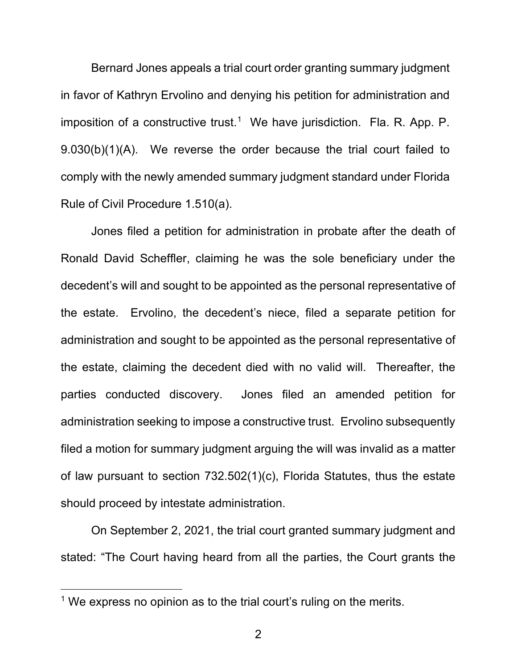Bernard Jones appeals a trial court order granting summary judgment in favor of Kathryn Ervolino and denying his petition for administration and imposition of a constructive trust.<sup>[1](#page-1-0)</sup> We have jurisdiction. Fla. R. App. P. 9.030(b)(1)(A). We reverse the order because the trial court failed to comply with the newly amended summary judgment standard under Florida Rule of Civil Procedure 1.510(a).

Jones filed a petition for administration in probate after the death of Ronald David Scheffler, claiming he was the sole beneficiary under the decedent's will and sought to be appointed as the personal representative of the estate. Ervolino, the decedent's niece, filed a separate petition for administration and sought to be appointed as the personal representative of the estate, claiming the decedent died with no valid will. Thereafter, the parties conducted discovery. Jones filed an amended petition for administration seeking to impose a constructive trust. Ervolino subsequently filed a motion for summary judgment arguing the will was invalid as a matter of law pursuant to section 732.502(1)(c), Florida Statutes, thus the estate should proceed by intestate administration.

On September 2, 2021, the trial court granted summary judgment and stated: "The Court having heard from all the parties, the Court grants the

<span id="page-1-0"></span><sup>&</sup>lt;sup>1</sup> We express no opinion as to the trial court's ruling on the merits.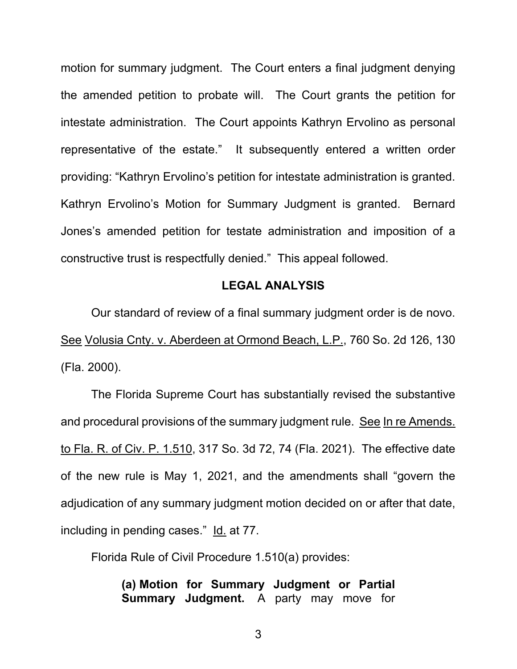motion for summary judgment. The Court enters a final judgment denying the amended petition to probate will. The Court grants the petition for intestate administration. The Court appoints Kathryn Ervolino as personal representative of the estate." It subsequently entered a written order providing: "Kathryn Ervolino's petition for intestate administration is granted. Kathryn Ervolino's Motion for Summary Judgment is granted. Bernard Jones's amended petition for testate administration and imposition of a constructive trust is respectfully denied." This appeal followed.

## **LEGAL ANALYSIS**

Our standard of review of a final summary judgment order is de novo. See Volusia Cnty. v. Aberdeen at Ormond Beach, L.P., 760 So. 2d 126, 130 (Fla. 2000).

The Florida Supreme Court has substantially revised the substantive and procedural provisions of the summary judgment rule. See In re Amends. to Fla. R. of Civ. P. 1.510, 317 So. 3d 72, 74 (Fla. 2021). The effective date of the new rule is May 1, 2021, and the amendments shall "govern the adjudication of any summary judgment motion decided on or after that date, including in pending cases." Id. at 77.

Florida Rule of Civil Procedure 1.510(a) provides:

**(a) Motion for Summary Judgment or Partial Summary Judgment.** A party may move for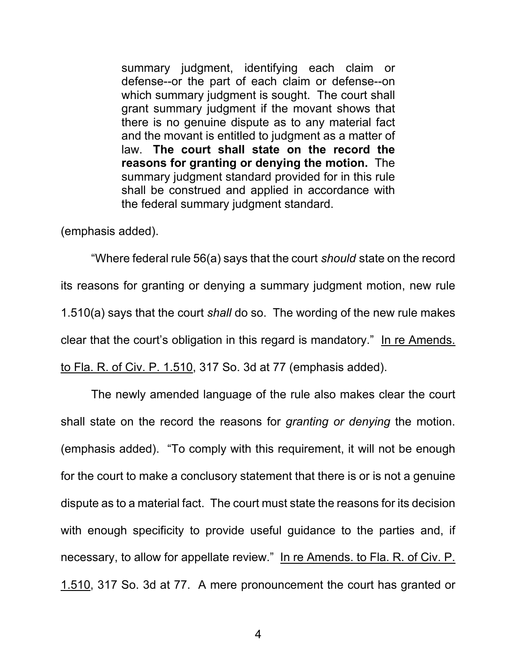summary judgment, identifying each claim or defense--or the part of each claim or defense--on which summary judgment is sought. The court shall grant summary judgment if the movant shows that there is no genuine dispute as to any material fact and the movant is entitled to judgment as a matter of law. **The court shall state on the record the reasons for granting or denying the motion.** The summary judgment standard provided for in this rule shall be construed and applied in accordance with the federal summary judgment standard.

(emphasis added).

"Where federal rule 56(a) says that the court *should* state on the record its reasons for granting or denying a summary judgment motion, new rule 1.510(a) says that the court *shall* do so. The wording of the new rule makes clear that the court's obligation in this regard is mandatory." In re Amends. to Fla. R. of Civ. P. 1.510, 317 So. 3d at 77 (emphasis added).

The newly amended language of the rule also makes clear the court shall state on the record the reasons for *granting or denying* the motion. (emphasis added). "To comply with this requirement, it will not be enough for the court to make a conclusory statement that there is or is not a genuine dispute as to a material fact. The court must state the reasons for its decision with enough specificity to provide useful guidance to the parties and, if necessary, to allow for appellate review." In re Amends. to Fla. R. of Civ. P. 1.510, 317 So. 3d at 77. A mere pronouncement the court has granted or